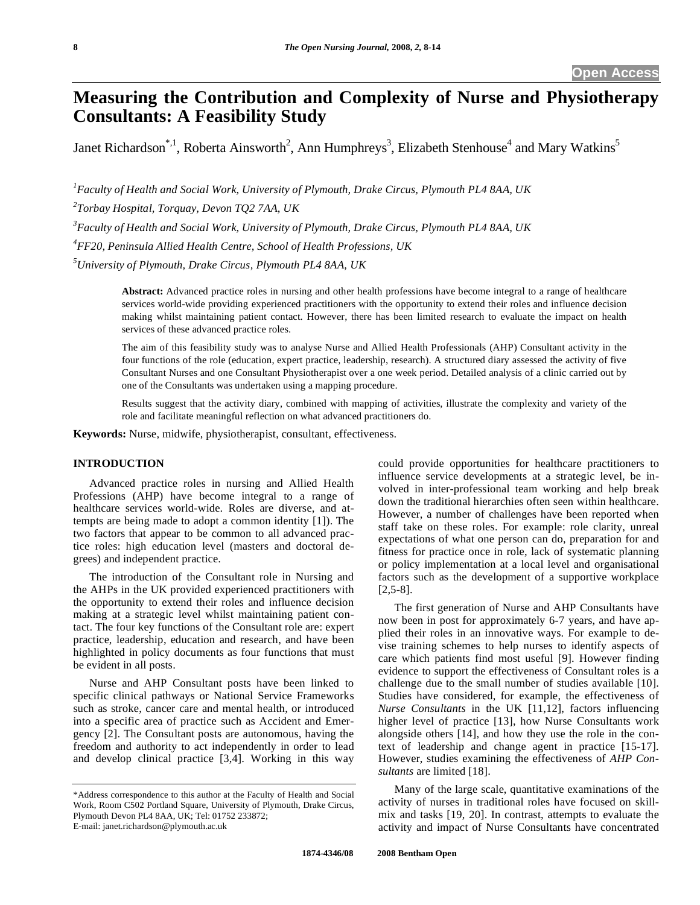# **Measuring the Contribution and Complexity of Nurse and Physiotherapy Consultants: A Feasibility Study**

Janet Richardson\*,<sup>1</sup>, Roberta Ainsworth<sup>2</sup>, Ann Humphreys<sup>3</sup>, Elizabeth Stenhouse<sup>4</sup> and Mary Watkins<sup>5</sup>

*1 Faculty of Health and Social Work, University of Plymouth, Drake Circus, Plymouth PL4 8AA, UK* 

*2 Torbay Hospital, Torquay, Devon TQ2 7AA, UK* 

*3 Faculty of Health and Social Work, University of Plymouth, Drake Circus, Plymouth PL4 8AA, UK* 

*4 FF20, Peninsula Allied Health Centre, School of Health Professions, UK* 

*5 University of Plymouth, Drake Circus, Plymouth PL4 8AA, UK*

**Abstract:** Advanced practice roles in nursing and other health professions have become integral to a range of healthcare services world-wide providing experienced practitioners with the opportunity to extend their roles and influence decision making whilst maintaining patient contact. However, there has been limited research to evaluate the impact on health services of these advanced practice roles.

The aim of this feasibility study was to analyse Nurse and Allied Health Professionals (AHP) Consultant activity in the four functions of the role (education, expert practice, leadership, research). A structured diary assessed the activity of five Consultant Nurses and one Consultant Physiotherapist over a one week period. Detailed analysis of a clinic carried out by one of the Consultants was undertaken using a mapping procedure.

Results suggest that the activity diary, combined with mapping of activities, illustrate the complexity and variety of the role and facilitate meaningful reflection on what advanced practitioners do.

**Keywords:** Nurse, midwife, physiotherapist, consultant, effectiveness.

#### **INTRODUCTION**

 Advanced practice roles in nursing and Allied Health Professions (AHP) have become integral to a range of healthcare services world-wide. Roles are diverse, and attempts are being made to adopt a common identity [1]). The two factors that appear to be common to all advanced practice roles: high education level (masters and doctoral degrees) and independent practice.

 The introduction of the Consultant role in Nursing and the AHPs in the UK provided experienced practitioners with the opportunity to extend their roles and influence decision making at a strategic level whilst maintaining patient contact. The four key functions of the Consultant role are: expert practice, leadership, education and research, and have been highlighted in policy documents as four functions that must be evident in all posts.

 Nurse and AHP Consultant posts have been linked to specific clinical pathways or National Service Frameworks such as stroke, cancer care and mental health, or introduced into a specific area of practice such as Accident and Emergency [2]. The Consultant posts are autonomous, having the freedom and authority to act independently in order to lead and develop clinical practice [3,4]. Working in this way

could provide opportunities for healthcare practitioners to influence service developments at a strategic level, be involved in inter-professional team working and help break down the traditional hierarchies often seen within healthcare. However, a number of challenges have been reported when staff take on these roles. For example: role clarity, unreal expectations of what one person can do, preparation for and fitness for practice once in role, lack of systematic planning or policy implementation at a local level and organisational factors such as the development of a supportive workplace [2,5-8].

 The first generation of Nurse and AHP Consultants have now been in post for approximately 6-7 years, and have applied their roles in an innovative ways. For example to devise training schemes to help nurses to identify aspects of care which patients find most useful [9]. However finding evidence to support the effectiveness of Consultant roles is a challenge due to the small number of studies available [10]. Studies have considered, for example, the effectiveness of *Nurse Consultants* in the UK [11,12], factors influencing higher level of practice [13], how Nurse Consultants work alongside others [14], and how they use the role in the context of leadership and change agent in practice [15-17]. However, studies examining the effectiveness of *AHP Consultants* are limited [18].

 Many of the large scale, quantitative examinations of the activity of nurses in traditional roles have focused on skillmix and tasks [19, 20]. In contrast, attempts to evaluate the activity and impact of Nurse Consultants have concentrated

<sup>\*</sup>Address correspondence to this author at the Faculty of Health and Social Work, Room C502 Portland Square, University of Plymouth, Drake Circus, Plymouth Devon PL4 8AA, UK; Tel: 01752 233872; E-mail: janet.richardson@plymouth.ac.uk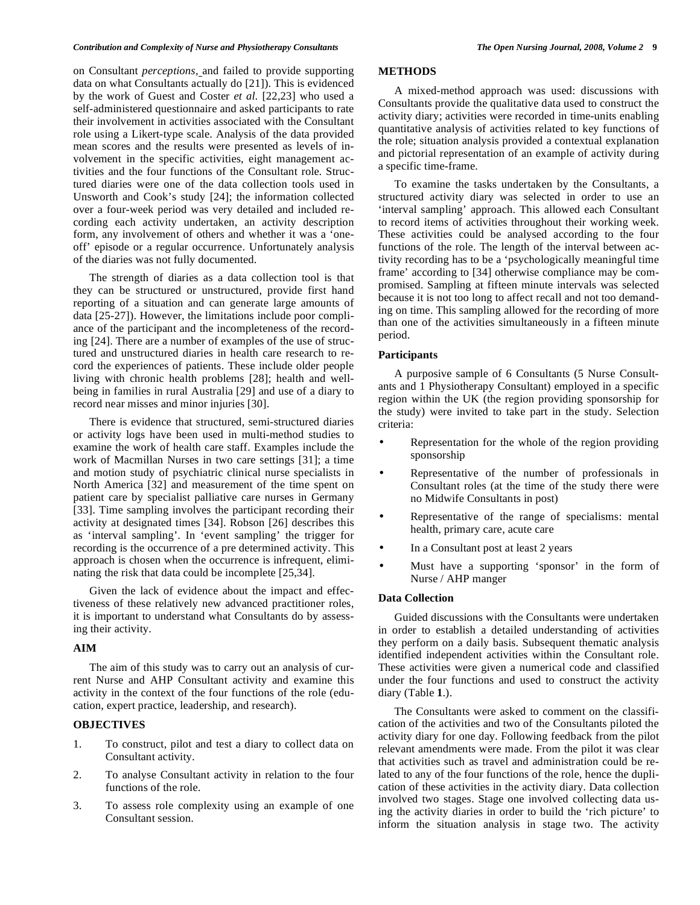on Consultant *perceptions,* and failed to provide supporting data on what Consultants actually do [21]). This is evidenced by the work of Guest and Coster *et al*. [22,23] who used a self-administered questionnaire and asked participants to rate their involvement in activities associated with the Consultant role using a Likert-type scale. Analysis of the data provided mean scores and the results were presented as levels of involvement in the specific activities, eight management activities and the four functions of the Consultant role. Structured diaries were one of the data collection tools used in Unsworth and Cook's study [24]; the information collected over a four-week period was very detailed and included recording each activity undertaken, an activity description form, any involvement of others and whether it was a 'oneoff' episode or a regular occurrence. Unfortunately analysis of the diaries was not fully documented.

 The strength of diaries as a data collection tool is that they can be structured or unstructured, provide first hand reporting of a situation and can generate large amounts of data [25-27]). However, the limitations include poor compliance of the participant and the incompleteness of the recording [24]. There are a number of examples of the use of structured and unstructured diaries in health care research to record the experiences of patients. These include older people living with chronic health problems [28]; health and wellbeing in families in rural Australia [29] and use of a diary to record near misses and minor injuries [30].

 There is evidence that structured, semi-structured diaries or activity logs have been used in multi-method studies to examine the work of health care staff. Examples include the work of Macmillan Nurses in two care settings [31]; a time and motion study of psychiatric clinical nurse specialists in North America [32] and measurement of the time spent on patient care by specialist palliative care nurses in Germany [33]. Time sampling involves the participant recording their activity at designated times [34]. Robson [26] describes this as 'interval sampling'. In 'event sampling' the trigger for recording is the occurrence of a pre determined activity. This approach is chosen when the occurrence is infrequent, eliminating the risk that data could be incomplete [25,34].

 Given the lack of evidence about the impact and effectiveness of these relatively new advanced practitioner roles, it is important to understand what Consultants do by assessing their activity.

#### **AIM**

 The aim of this study was to carry out an analysis of current Nurse and AHP Consultant activity and examine this activity in the context of the four functions of the role (education, expert practice, leadership, and research).

## **OBJECTIVES**

- 1. To construct, pilot and test a diary to collect data on Consultant activity.
- 2. To analyse Consultant activity in relation to the four functions of the role.
- 3. To assess role complexity using an example of one Consultant session.

## **METHODS**

 A mixed-method approach was used: discussions with Consultants provide the qualitative data used to construct the activity diary; activities were recorded in time-units enabling quantitative analysis of activities related to key functions of the role; situation analysis provided a contextual explanation and pictorial representation of an example of activity during a specific time-frame.

 To examine the tasks undertaken by the Consultants, a structured activity diary was selected in order to use an 'interval sampling' approach. This allowed each Consultant to record items of activities throughout their working week. These activities could be analysed according to the four functions of the role. The length of the interval between activity recording has to be a 'psychologically meaningful time frame' according to [34] otherwise compliance may be compromised. Sampling at fifteen minute intervals was selected because it is not too long to affect recall and not too demanding on time. This sampling allowed for the recording of more than one of the activities simultaneously in a fifteen minute period.

## **Participants**

 A purposive sample of 6 Consultants (5 Nurse Consultants and 1 Physiotherapy Consultant) employed in a specific region within the UK (the region providing sponsorship for the study) were invited to take part in the study. Selection criteria:

- Representation for the whole of the region providing sponsorship
- Representative of the number of professionals in Consultant roles (at the time of the study there were no Midwife Consultants in post)
- Representative of the range of specialisms: mental health, primary care, acute care
- In a Consultant post at least 2 years
- Must have a supporting 'sponsor' in the form of Nurse / AHP manger

## **Data Collection**

 Guided discussions with the Consultants were undertaken in order to establish a detailed understanding of activities they perform on a daily basis. Subsequent thematic analysis identified independent activities within the Consultant role. These activities were given a numerical code and classified under the four functions and used to construct the activity diary (Table **1**.).

 The Consultants were asked to comment on the classification of the activities and two of the Consultants piloted the activity diary for one day. Following feedback from the pilot relevant amendments were made. From the pilot it was clear that activities such as travel and administration could be related to any of the four functions of the role, hence the duplication of these activities in the activity diary. Data collection involved two stages. Stage one involved collecting data using the activity diaries in order to build the 'rich picture' to inform the situation analysis in stage two. The activity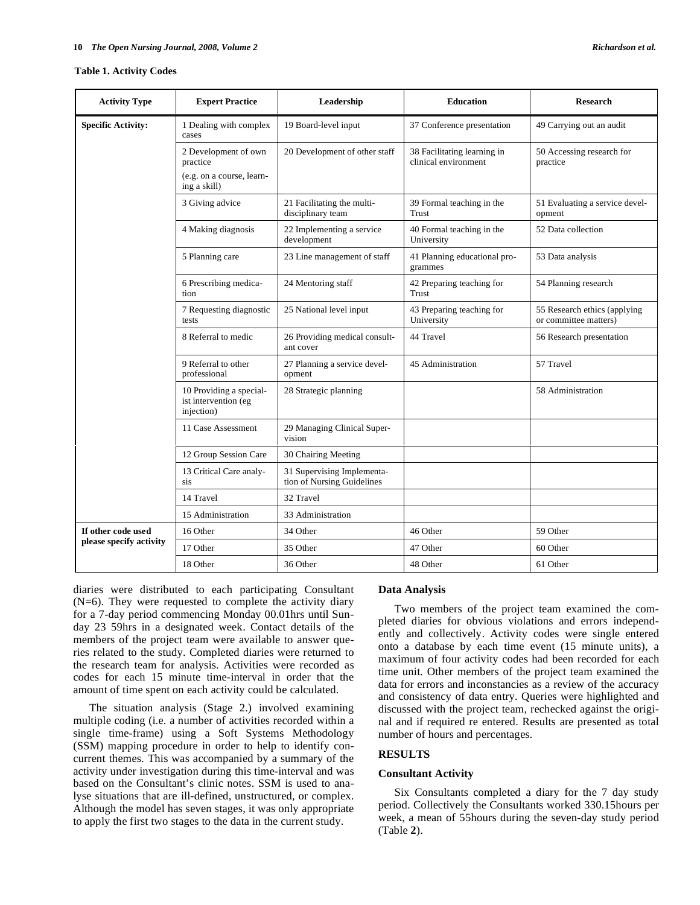#### **Table 1. Activity Codes**

| <b>Activity Type</b>      | <b>Expert Practice</b>                                        | Leadership                                               | <b>Education</b>                                    | <b>Research</b>                                       |
|---------------------------|---------------------------------------------------------------|----------------------------------------------------------|-----------------------------------------------------|-------------------------------------------------------|
| <b>Specific Activity:</b> | 1 Dealing with complex<br>cases                               | 19 Board-level input                                     | 37 Conference presentation                          | 49 Carrying out an audit                              |
|                           | 2 Development of own<br>practice                              | 20 Development of other staff                            | 38 Facilitating learning in<br>clinical environment | 50 Accessing research for<br>practice                 |
|                           | (e.g. on a course, learn-<br>ing a skill)                     |                                                          |                                                     |                                                       |
|                           | 3 Giving advice                                               | 21 Facilitating the multi-<br>disciplinary team          | 39 Formal teaching in the<br>Trust                  | 51 Evaluating a service devel-<br>opment              |
|                           | 4 Making diagnosis                                            | 22 Implementing a service<br>development                 | 40 Formal teaching in the<br>University             | 52 Data collection                                    |
|                           | 5 Planning care                                               | 23 Line management of staff                              | 41 Planning educational pro-<br>grammes             | 53 Data analysis                                      |
|                           | 6 Prescribing medica-<br>tion                                 | 24 Mentoring staff                                       | 42 Preparing teaching for<br>Trust                  | 54 Planning research                                  |
|                           | 7 Requesting diagnostic<br>tests                              | 25 National level input                                  | 43 Preparing teaching for<br>University             | 55 Research ethics (applying<br>or committee matters) |
|                           | 8 Referral to medic                                           | 26 Providing medical consult-<br>ant cover               | 44 Travel                                           | 56 Research presentation                              |
|                           | 9 Referral to other<br>professional                           | 27 Planning a service devel-<br>opment                   | 45 Administration                                   | 57 Travel                                             |
|                           | 10 Providing a special-<br>ist intervention (eg<br>injection) | 28 Strategic planning                                    |                                                     | 58 Administration                                     |
|                           | 11 Case Assessment                                            | 29 Managing Clinical Super-<br>vision                    |                                                     |                                                       |
|                           | 12 Group Session Care                                         | 30 Chairing Meeting                                      |                                                     |                                                       |
|                           | 13 Critical Care analy-<br>sis                                | 31 Supervising Implementa-<br>tion of Nursing Guidelines |                                                     |                                                       |
|                           | 14 Travel                                                     | 32 Travel                                                |                                                     |                                                       |
|                           | 15 Administration                                             | 33 Administration                                        |                                                     |                                                       |
| If other code used        | 16 Other                                                      | 34 Other                                                 | 46 Other                                            | 59 Other                                              |
| please specify activity   | 17 Other                                                      | 35 Other                                                 | 47 Other                                            | 60 Other                                              |
|                           | 18 Other                                                      | 36 Other                                                 | 48 Other                                            | 61 Other                                              |

diaries were distributed to each participating Consultant (N=6). They were requested to complete the activity diary for a 7-day period commencing Monday 00.01hrs until Sunday 23 59hrs in a designated week. Contact details of the members of the project team were available to answer queries related to the study. Completed diaries were returned to the research team for analysis. Activities were recorded as codes for each 15 minute time-interval in order that the amount of time spent on each activity could be calculated.

 The situation analysis (Stage 2.) involved examining multiple coding (i.e. a number of activities recorded within a single time-frame) using a Soft Systems Methodology (SSM) mapping procedure in order to help to identify concurrent themes. This was accompanied by a summary of the activity under investigation during this time-interval and was based on the Consultant's clinic notes. SSM is used to analyse situations that are ill-defined, unstructured, or complex. Although the model has seven stages, it was only appropriate to apply the first two stages to the data in the current study.

# **Data Analysis**

 Two members of the project team examined the completed diaries for obvious violations and errors independently and collectively. Activity codes were single entered onto a database by each time event (15 minute units), a maximum of four activity codes had been recorded for each time unit. Other members of the project team examined the data for errors and inconstancies as a review of the accuracy and consistency of data entry. Queries were highlighted and discussed with the project team, rechecked against the original and if required re entered. Results are presented as total number of hours and percentages.

# **RESULTS**

# **Consultant Activity**

 Six Consultants completed a diary for the 7 day study period. Collectively the Consultants worked 330.15hours per week, a mean of 55hours during the seven-day study period (Table **2**).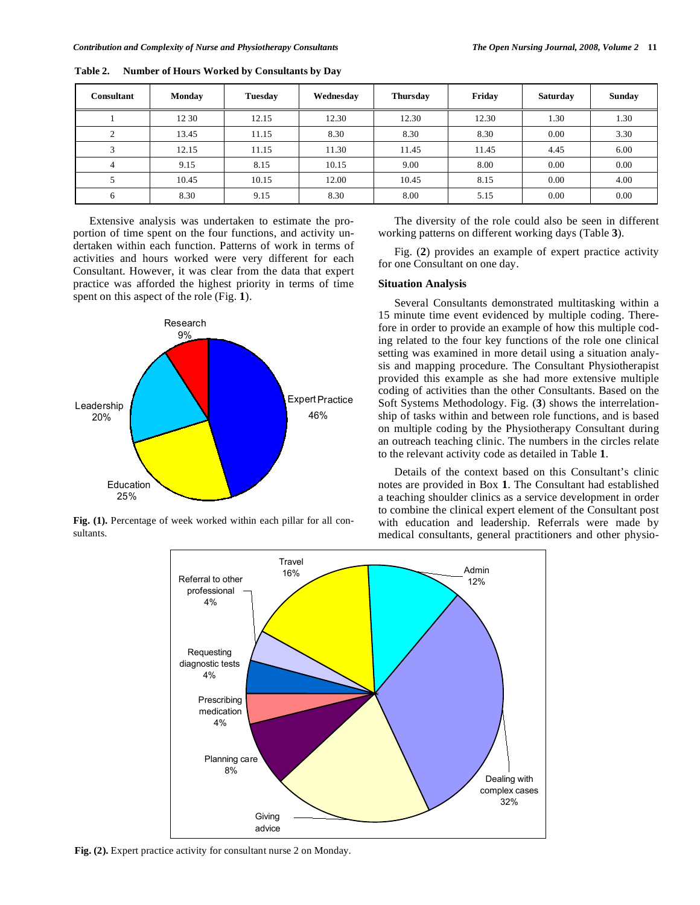| <b>Consultant</b>       | <b>Monday</b> | <b>Tuesday</b> | Wednesday | <b>Thursday</b> | Friday | <b>Saturday</b> | <b>Sunday</b> |
|-------------------------|---------------|----------------|-----------|-----------------|--------|-----------------|---------------|
|                         | 12 30         | 12.15          | 12.30     | 12.30           | 12.30  | 1.30            | 1.30          |
| $\Omega$                | 13.45         | 11.15          | 8.30      | 8.30            | 8.30   | 0.00            | 3.30          |
| $\overline{\mathbf{c}}$ | 12.15         | 11.15          | 11.30     | 11.45           | 11.45  | 4.45            | 6.00          |
| 4                       | 9.15          | 8.15           | 10.15     | 9.00            | 8.00   | 0.00            | 0.00          |
|                         | 10.45         | 10.15          | 12.00     | 10.45           | 8.15   | 0.00            | 4.00          |
| 6                       | 8.30          | 9.15           | 8.30      | 8.00            | 5.15   | 0.00            | 0.00          |

**Table 2. Number of Hours Worked by Consultants by Day** 

 Extensive analysis was undertaken to estimate the proportion of time spent on the four functions, and activity undertaken within each function. Patterns of work in terms of activities and hours worked were very different for each Consultant. However, it was clear from the data that expert practice was afforded the highest priority in terms of time spent on this aspect of the role (Fig. **1**).



Fig. (1). Percentage of week worked within each pillar for all consultants.

 The diversity of the role could also be seen in different working patterns on different working days (Table **3**).

 Fig. (**2**) provides an example of expert practice activity for one Consultant on one day.

# **Situation Analysis**

 Several Consultants demonstrated multitasking within a 15 minute time event evidenced by multiple coding. Therefore in order to provide an example of how this multiple coding related to the four key functions of the role one clinical setting was examined in more detail using a situation analysis and mapping procedure. The Consultant Physiotherapist provided this example as she had more extensive multiple coding of activities than the other Consultants. Based on the Soft Systems Methodology. Fig. (**3**) shows the interrelationship of tasks within and between role functions, and is based on multiple coding by the Physiotherapy Consultant during an outreach teaching clinic. The numbers in the circles relate to the relevant activity code as detailed in Table **1**.

 Details of the context based on this Consultant's clinic notes are provided in Box **1**. The Consultant had established a teaching shoulder clinics as a service development in order to combine the clinical expert element of the Consultant post with education and leadership. Referrals were made by medical consultants, general practitioners and other physio-



**Fig. (2).** Expert practice activity for consultant nurse 2 on Monday.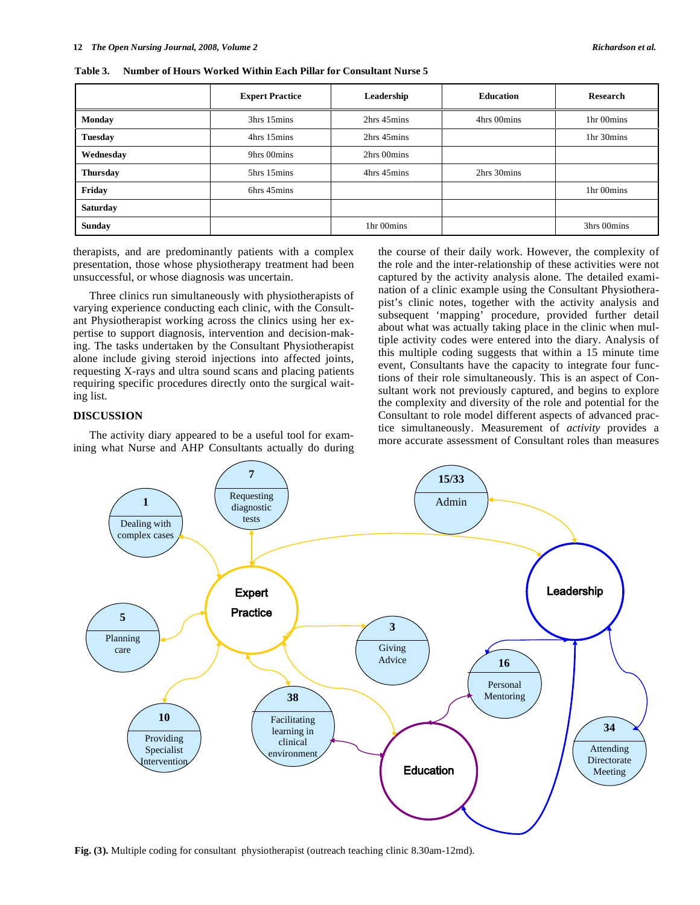|                 | <b>Expert Practice</b> | Leadership  | <b>Education</b> | <b>Research</b> |
|-----------------|------------------------|-------------|------------------|-----------------|
| <b>Monday</b>   | 3hrs 15mins            | 2hrs 45mins | 4hrs 00mins      | 1hr 00mins      |
| <b>Tuesday</b>  | 4hrs 15mins            | 2hrs 45mins |                  | 1hr 30mins      |
| Wednesday       | 9hrs 00mins            | 2hrs 00mins |                  |                 |
| <b>Thursday</b> | 5hrs 15mins            | 4hrs 45mins | 2hrs 30mins      |                 |
| Friday          | 6hrs 45mins            |             |                  | 1hr 00mins      |
| <b>Saturday</b> |                        |             |                  |                 |
| <b>Sunday</b>   |                        | 1hr 00mins  |                  | 3hrs 00mins     |

**Table 3. Number of Hours Worked Within Each Pillar for Consultant Nurse 5** 

therapists, and are predominantly patients with a complex presentation, those whose physiotherapy treatment had been unsuccessful, or whose diagnosis was uncertain.

 Three clinics run simultaneously with physiotherapists of varying experience conducting each clinic, with the Consultant Physiotherapist working across the clinics using her expertise to support diagnosis, intervention and decision-making. The tasks undertaken by the Consultant Physiotherapist alone include giving steroid injections into affected joints, requesting X-rays and ultra sound scans and placing patients requiring specific procedures directly onto the surgical waiting list.

# **DISCUSSION**

 The activity diary appeared to be a useful tool for examining what Nurse and AHP Consultants actually do during the course of their daily work. However, the complexity of the role and the inter-relationship of these activities were not captured by the activity analysis alone. The detailed examination of a clinic example using the Consultant Physiotherapist's clinic notes, together with the activity analysis and subsequent 'mapping' procedure, provided further detail about what was actually taking place in the clinic when multiple activity codes were entered into the diary. Analysis of this multiple coding suggests that within a 15 minute time event, Consultants have the capacity to integrate four functions of their role simultaneously. This is an aspect of Consultant work not previously captured, and begins to explore the complexity and diversity of the role and potential for the Consultant to role model different aspects of advanced practice simultaneously. Measurement of *activity* provides a more accurate assessment of Consultant roles than measures



**Fig. (3).** Multiple coding for consultant physiotherapist (outreach teaching clinic 8.30am-12md).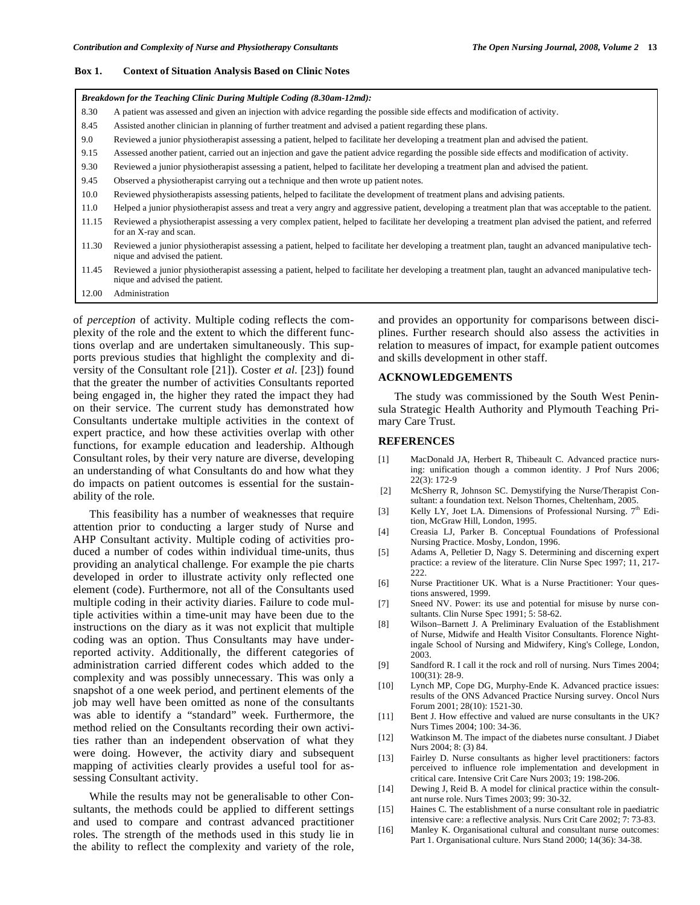#### **Box 1. Context of Situation Analysis Based on Clinic Notes**

|       | Breakdown for the Teaching Clinic During Multiple Coding (8.30am-12md):                                                                                                              |
|-------|--------------------------------------------------------------------------------------------------------------------------------------------------------------------------------------|
| 8.30  | A patient was assessed and given an injection with advice regarding the possible side effects and modification of activity.                                                          |
| 8.45  | Assisted another clinician in planning of further treatment and advised a patient regarding these plans.                                                                             |
| 9.0   | Reviewed a junior physiotherapist assessing a patient, helped to facilitate her developing a treatment plan and advised the patient.                                                 |
| 9.15  | Assessed another patient, carried out an injection and gave the patient advice regarding the possible side effects and modification of activity.                                     |
| 9.30  | Reviewed a junior physiotherapist assessing a patient, helped to facilitate her developing a treatment plan and advised the patient.                                                 |
| 9.45  | Observed a physiotherapist carrying out a technique and then wrote up patient notes.                                                                                                 |
| 10.0  | Reviewed physiotherapists assessing patients, helped to facilitate the development of treatment plans and advising patients.                                                         |
| 11.0  | Helped a junior physiotherapist assess and treat a very angry and aggressive patient, developing a treatment plan that was acceptable to the patient.                                |
| 11.15 | Reviewed a physiotherapist assessing a very complex patient, helped to facilitate her developing a treatment plan advised the patient, and referred<br>for an X-ray and scan.        |
| 11.30 | Reviewed a junior physiotherapist assessing a patient, helped to facilitate her developing a treatment plan, taught an advanced manipulative tech-<br>nique and advised the patient. |
| 11.45 | Reviewed a junior physiotherapist assessing a patient, helped to facilitate her developing a treatment plan, taught an advanced manipulative tech-<br>nique and advised the patient. |

12.00 Administration

of *perception* of activity. Multiple coding reflects the complexity of the role and the extent to which the different functions overlap and are undertaken simultaneously. This supports previous studies that highlight the complexity and diversity of the Consultant role [21]). Coster *et al.* [23]) found that the greater the number of activities Consultants reported being engaged in, the higher they rated the impact they had on their service. The current study has demonstrated how Consultants undertake multiple activities in the context of expert practice, and how these activities overlap with other functions, for example education and leadership. Although Consultant roles, by their very nature are diverse, developing an understanding of what Consultants do and how what they do impacts on patient outcomes is essential for the sustainability of the role.

 This feasibility has a number of weaknesses that require attention prior to conducting a larger study of Nurse and AHP Consultant activity. Multiple coding of activities produced a number of codes within individual time-units, thus providing an analytical challenge. For example the pie charts developed in order to illustrate activity only reflected one element (code). Furthermore, not all of the Consultants used multiple coding in their activity diaries. Failure to code multiple activities within a time-unit may have been due to the instructions on the diary as it was not explicit that multiple coding was an option. Thus Consultants may have underreported activity. Additionally, the different categories of administration carried different codes which added to the complexity and was possibly unnecessary. This was only a snapshot of a one week period, and pertinent elements of the job may well have been omitted as none of the consultants was able to identify a "standard" week. Furthermore, the method relied on the Consultants recording their own activities rather than an independent observation of what they were doing. However, the activity diary and subsequent mapping of activities clearly provides a useful tool for assessing Consultant activity.

 While the results may not be generalisable to other Consultants, the methods could be applied to different settings and used to compare and contrast advanced practitioner roles. The strength of the methods used in this study lie in the ability to reflect the complexity and variety of the role, and provides an opportunity for comparisons between disciplines. Further research should also assess the activities in relation to measures of impact, for example patient outcomes and skills development in other staff.

# **ACKNOWLEDGEMENTS**

 The study was commissioned by the South West Peninsula Strategic Health Authority and Plymouth Teaching Primary Care Trust.

#### **REFERENCES**

- [1] MacDonald JA, Herbert R, Thibeault C. Advanced practice nursing: unification though a common identity. J Prof Nurs 2006; 22(3): 172-9
- [2] McSherry R, Johnson SC. Demystifying the Nurse/Therapist Consultant: a foundation text. Nelson Thornes, Cheltenham, 2005.
- [3] Kelly LY, Joet LA. Dimensions of Professional Nursing.  $7<sup>th</sup>$  Edition, McGraw Hill, London, 1995.
- [4] Creasia LJ, Parker B. Conceptual Foundations of Professional Nursing Practice. Mosby, London, 1996.
- [5] Adams A, Pelletier D, Nagy S. Determining and discerning expert practice: a review of the literature. Clin Nurse Spec 1997; 11, 217- 222.
- [6] Nurse Practitioner UK. What is a Nurse Practitioner: Your questions answered, 1999.
- [7] Sneed NV. Power: its use and potential for misuse by nurse consultants. Clin Nurse Spec 1991; 5: 58-62.
- [8] Wilson–Barnett J. A Preliminary Evaluation of the Establishment of Nurse, Midwife and Health Visitor Consultants. Florence Nightingale School of Nursing and Midwifery, King's College, London, 2003.
- [9] Sandford R. I call it the rock and roll of nursing. Nurs Times 2004; 100(31): 28-9.
- [10] Lynch MP, Cope DG, Murphy-Ende K. Advanced practice issues: results of the ONS Advanced Practice Nursing survey. Oncol Nurs Forum 2001; 28(10): 1521-30.
- [11] Bent J. How effective and valued are nurse consultants in the UK? Nurs Times 2004; 100: 34-36.
- [12] Watkinson M. The impact of the diabetes nurse consultant. J Diabet Nurs 2004; 8: (3) 84.
- [13] Fairley D. Nurse consultants as higher level practitioners: factors perceived to influence role implementation and development in critical care. Intensive Crit Care Nurs 2003; 19: 198-206.
- [14] Dewing J, Reid B. A model for clinical practice within the consultant nurse role. Nurs Times 2003; 99: 30-32.
- [15] Haines C. The establishment of a nurse consultant role in paediatric intensive care: a reflective analysis. Nurs Crit Care 2002; 7: 73-83.
- [16] Manley K. Organisational cultural and consultant nurse outcomes: Part 1. Organisational culture. Nurs Stand 2000; 14(36): 34-38.